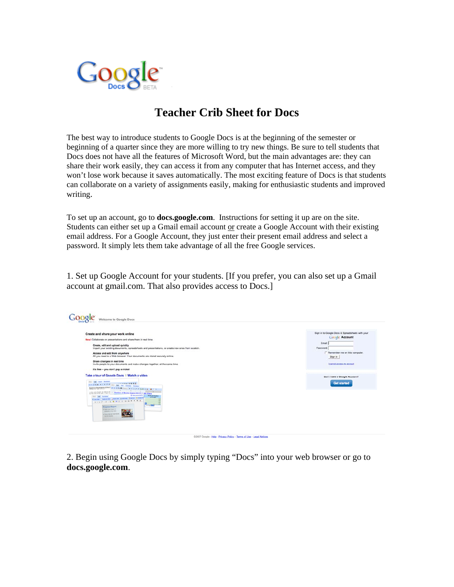

## **Teacher Crib Sheet for Docs**

The best way to introduce students to Google Docs is at the beginning of the semester or beginning of a quarter since they are more willing to try new things. Be sure to tell students that Docs does not have all the features of Microsoft Word, but the main advantages are: they can share their work easily, they can access it from any computer that has Internet access, and they won't lose work because it saves automatically. The most exciting feature of Docs is that students can collaborate on a variety of assignments easily, making for enthusiastic students and improved writing.

To set up an account, go to **docs.google.com**. Instructions for setting it up are on the site. Students can either set up a Gmail email account or create a Google Account with their existing email address. For a Google Account, they just enter their present email address and select a password. It simply lets them take advantage of all the free Google services.

1. Set up Google Account for your students. [If you prefer, you can also set up a Gmail account at gmail.com. That also provides access to Docs.]

| Create and share your work online<br>New! Collaborate on presentations and share them in real time.<br>Create, edit and upload quickly<br>Import your existing documents, spreadsheets and presentations, or create new ones from scratch.<br>Access and edit from anywhere<br>All you need is a Web browser. Your documents are stored securely online.<br>Share changes in real time<br>Invite people to your documents and make changes together, at the same time.<br>It's free - you don't pay a nickel<br>Take a tour of Google Docs   Watch a video  | Sign in to Google Docs & Spreadsheets with your<br><b>Google Account</b><br>Email:<br>Password:<br>Remember me on this computer.<br>Sign in<br>I connot access my account |
|-------------------------------------------------------------------------------------------------------------------------------------------------------------------------------------------------------------------------------------------------------------------------------------------------------------------------------------------------------------------------------------------------------------------------------------------------------------------------------------------------------------------------------------------------------------|---------------------------------------------------------------------------------------------------------------------------------------------------------------------------|
| Han Ads boot Schlon<br>FOR THE R. P. LEWIS CO., LANSING, MICH. 49-14039-1-120-2<br>spotathement find on 1255 (me) s / 176 kpo 2 6<br><b>All Angeles</b><br>as the end of April, my class is in (1). Mamber of Books Read a Moom- in My Class<br><b>ID Sun presentation</b><br><b>Books per student</b><br>File Like System<br><b>Ulmount</b><br>If we like a fighter side of the state of the control of Computer<br>$-47$<br>1000<br><b>Progress Report</b><br>. Highlings that 10<br>showeds in imposite<br>. Every day we read \$1000.<br>for 30 minutes | Don't have a Google Account?<br><b>Get started</b>                                                                                                                        |

2. Begin using Google Docs by simply typing "Docs" into your web browser or go to **docs.google.com**.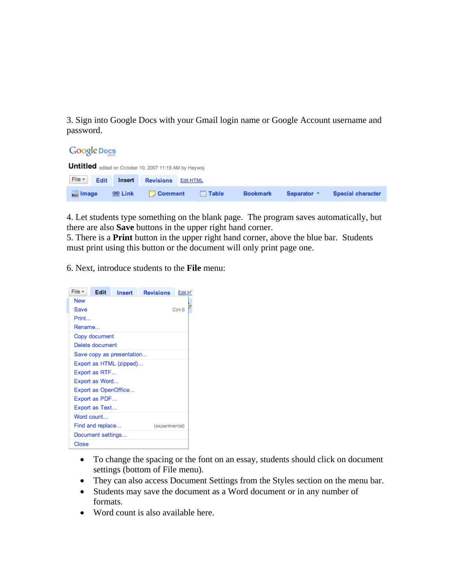3. Sign into Google Docs with your Gmail login name or Google Account username and password.

**Google Docs** 

|          |      |                 | Untitled edited on October 10, 2007 11:19 AM by Heywoj |              |                 |             |                          |
|----------|------|-----------------|--------------------------------------------------------|--------------|-----------------|-------------|--------------------------|
| File *   | Edit |                 | <b>Insert</b> Revisions Edit HTML                      |              |                 |             |                          |
| sa Image |      | <b>BED Link</b> | $\Box$ Comment                                         | <b>Table</b> | <b>Bookmark</b> | Separator * | <b>Special character</b> |

4. Let students type something on the blank page. The program saves automatically, but there are also **Save** buttons in the upper right hand corner.

5. There is a **Print** button in the upper right hand corner, above the blue bar. Students must print using this button or the document will only print page one.

6. Next, introduce students to the **File** menu:

| File $\overline{ }$ | Edit              | Insert                    | <b>Revisions</b> | Edit H <sup>-</sup> |  |  |  |
|---------------------|-------------------|---------------------------|------------------|---------------------|--|--|--|
| New                 |                   |                           |                  |                     |  |  |  |
| Save                | Ctrl-S            |                           |                  |                     |  |  |  |
| Print               |                   |                           |                  |                     |  |  |  |
| Rename              |                   |                           |                  |                     |  |  |  |
|                     | Copy document     |                           |                  |                     |  |  |  |
|                     | Delete document   |                           |                  |                     |  |  |  |
|                     |                   | Save copy as presentation |                  |                     |  |  |  |
|                     |                   | Export as HTML (zipped)   |                  |                     |  |  |  |
|                     | Export as RTF     |                           |                  |                     |  |  |  |
|                     | Export as Word    |                           |                  |                     |  |  |  |
|                     |                   | Export as OpenOffice      |                  |                     |  |  |  |
|                     | Export as PDF     |                           |                  |                     |  |  |  |
|                     | Export as Text    |                           |                  |                     |  |  |  |
|                     | Word count        |                           |                  |                     |  |  |  |
|                     | Find and replace  |                           | (experimental)   |                     |  |  |  |
|                     | Document settings |                           |                  |                     |  |  |  |
| Close               |                   |                           |                  |                     |  |  |  |

- To change the spacing or the font on an essay, students should click on document settings (bottom of File menu).
- They can also access Document Settings from the Styles section on the menu bar.
- Students may save the document as a Word document or in any number of formats.
- Word count is also available here.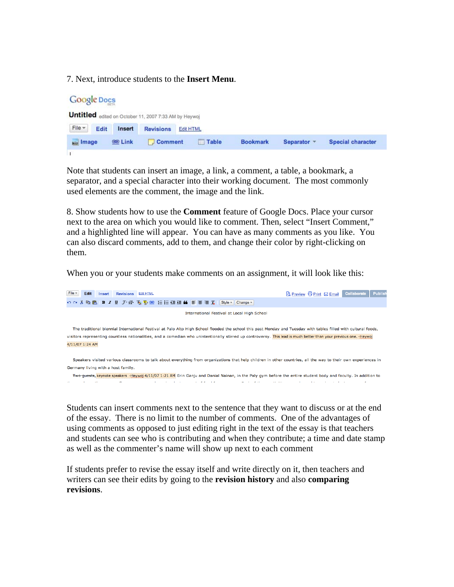## 7. Next, introduce students to the **Insert Menu**.



Note that students can insert an image, a link, a comment, a table, a bookmark, a separator, and a special character into their working document. The most commonly used elements are the comment, the image and the link.

8. Show students how to use the **Comment** feature of Google Docs. Place your cursor next to the area on which you would like to comment. Then, select "Insert Comment," and a highlighted line will appear. You can have as many comments as you like. You can also discard comments, add to them, and change their color by right-clicking on them.

When you or your students make comments on an assignment, it will look like this:



Students can insert comments next to the sentence that they want to discuss or at the end of the essay. There is no limit to the number of comments. One of the advantages of using comments as opposed to just editing right in the text of the essay is that teachers and students can see who is contributing and when they contribute; a time and date stamp as well as the commenter's name will show up next to each comment

If students prefer to revise the essay itself and write directly on it, then teachers and writers can see their edits by going to the **revision history** and also **comparing revisions**.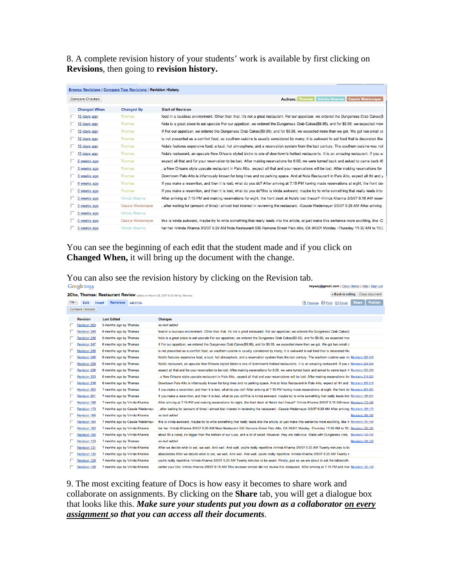8. A complete revision history of your students' work is available by first clicking on **Revisions**, then going to **revision history.** 

|                     | <b>Browse Revisions   Compare Two Revisions   Revision History</b> |                                                                                                                                            |
|---------------------|--------------------------------------------------------------------|--------------------------------------------------------------------------------------------------------------------------------------------|
| Compare Checked     |                                                                    | Authors: Thomas Vrinda Khanna Cassie Wedemeyer                                                                                             |
| <b>Changed When</b> | <b>Changed By</b>                                                  | <b>Start of Revision</b>                                                                                                                   |
| 12 days ago         | Thomas                                                             | food in a raucious environment. Other than that, it's not a great restaurant. For our appetizer, we ordered the Dungeness Crab Cakes(\$    |
| 12 days ago         | <b>Thomas</b>                                                      | Nola is a great place to eat upscale For our appetizer, we ordered the Dungeness Crab Cakes(\$9.95), and for \$9.95, we expected more      |
| 12 days ago         | Thomas                                                             | If For our appetizer, we ordered the Dungeness Crab Cakes(\$9.95), and for \$9.95, we expected more than we got. We got two small cr       |
| 12 days ago         | Thomas                                                             | is not presented as a comfort food, as southern cuisine is usually considered by many; it is awkward to eat food that is decorated like    |
| 12 days ago         | Thomas                                                             | Nola's features expensive food, a loud, hot atmosphere, and a reservation system from the last century. The southern cuisine was not       |
| 13 days ago         | <b>Thomas</b>                                                      | Nola's restaurant, an upscale New Orleans styled bistro is one of downtown's hottest restaurants. It is an amazing restaurant. If you ar   |
| 2 weeks ago         | <b>Thomas</b>                                                      | expect all that and for your reservation to be lost. After making reservations for 8:00, we were turned back and asked to came back 45     |
| 3 weeks ago         | <b>Thomas</b>                                                      | , a New Orleans style upscale restaurant in Palo Alto, expect all that and your reservations will be lost. After making reservations for   |
| 3 weeks ago         | Thomas                                                             | Downtown Palo Alto is infamously known for long lines and no parking space. And at Nola Restaurant in Palo Alto, expect all tht and y      |
| 4 weeks ago         | <b>Thomas</b>                                                      | If you make a reservtion, and then it is lost, what do you do? After arriving at 7:15 PM having made reservations at eight, the front des  |
| 5 weeks ago         | Thomas                                                             | If you make a reservtion, and then it is lost, what do you do?this is kinda awkward, maybe try to write something that really leads into   |
| 5 weeks ago         | Vrinda Khanna                                                      | After arriving at 7:15 PM and making reservations for eight, the front desk at Nola's lost theour? -Vrinda Khanna 3/5/07 6:16 AM reserv    |
| 5 weeks ago         | <b>Cassie Wedemeyer</b>                                            | , after waiting for (amount of time) i almost lost interest in reviewing the restaurant. -Cassie Wedemeyer 3/5/07 6:29 AM After arriving   |
| 5 weeks ago         | Vrinda Khanna                                                      |                                                                                                                                            |
| 5 weeks ago         | Cassie Wedemever                                                   | this is kinda awkward, maybe try to write something that really leads into the article, or just make this sentence more excititng, like -C |
| 5 weeks ago         | Vrinda Khanna                                                      | har har -Vrinda Khanna 3/5/07 6:29 AM Nola Restaurant 535 Ramona Street Palo Alto, CA 94301 Monday -Thursday 11:30 AM to 10:0              |

You can see the beginning of each edit that the student made and if you click on **Changed When,** it will bring up the document with the change.

| You can also see the revision history by clicking on the Revision tab. |  |
|------------------------------------------------------------------------|--|
|------------------------------------------------------------------------|--|

|          | <b>Google Docs</b>     |                               |                                 | heywoj@gmail.com   Docs Home   Help   Sign out                                                                                                               |                          |                |
|----------|------------------------|-------------------------------|---------------------------------|--------------------------------------------------------------------------------------------------------------------------------------------------------------|--------------------------|----------------|
|          |                        |                               |                                 | « Back to editing Close document<br>2Cho, Thomas: Restaurant Review edited on March 29, 2007 8:33 AM by Thomas                                               |                          |                |
| $File -$ | Edit                   | Revisions Edit HTML<br>Insert |                                 | <b>Q</b> Preview <b>B</b> Print ⊠ Email                                                                                                                      | <b>Share</b>             | <b>Publish</b> |
|          | <b>Compare Checked</b> |                               |                                 |                                                                                                                                                              |                          |                |
|          | <b>Revision</b>        | <b>Last Edited</b>            |                                 | <b>Changes</b>                                                                                                                                               |                          |                |
|          | <b>Revision 250</b>    | 5 months ago by Thomas        |                                 | no text added                                                                                                                                                |                          |                |
|          | <b>Revision 249</b>    | 6 months ago by Thomas        |                                 | food in a raucious environment. Other than that, it's not a great restaurant. For our appetizer, we ordered the Dungeness Crab Cakes(!                       |                          |                |
|          | <b>Revision 248</b>    | 6 months ago by Thomas        |                                 | Nola is a great place to eat upscale For our appetizer, we ordered the Dungeness Crab Cakes(\$9.95), and for \$9.95, we expected mor                         |                          |                |
|          | <b>Revision 247</b>    | 6 months ago by Thomas        |                                 | If For our appetizer, we ordered the Dungeness Crab Cakes(\$9.95), and for \$9.95, we expected more than we got. We got two small c                          |                          |                |
|          | <b>Revision 246</b>    | 6 months ago by Thomas        |                                 | is not presented as a comfort food, as southern cuisine is usually considered by many; it is awkward to eat food that is decorated like                      |                          |                |
|          | <b>Revision 245</b>    | 6 months ago by Thomas        |                                 | Nola's features expensive food, a loud, hot atmosphere, and a reservation system from the last century. The southern cuisine was no Revisions 239-245        |                          |                |
|          | <b>Revision 239</b>    | 6 months ago by Thomas        |                                 | Nola's restaurant, an upscale New Orleans styled bistro is one of downtown's hottest restaurants. It is an amazing restaurant. If you a Revisions 236-239    |                          |                |
|          | <b>Revision 236</b>    | 6 months ago by Thomas        |                                 | expect all that and for your reservation to be lost. After making reservations for 8:00, we were turned back and asked to came back 4 Revisions 223-236      |                          |                |
|          | <b>Revision 223</b>    | 6 months ago by Thomas        |                                 | , a New Orleans style upscale restaurant in Palo Alto, expect all that and your reservations will be lost. After making reservations for Revisions 218-223   |                          |                |
|          | <b>Revision 218</b>    | 6 months ago by Thomas        |                                 | Downtown Palo Alto is infamously known for long lines and no parking space. And at Nola Restaurant in Palo Alto, expect all tht and · Revisions 205-218      |                          |                |
|          | <b>Revision 205</b>    | 7 months ago by Thomas        |                                 | If you make a reservtion, and then it is lost, what do you do? After arriving at 7:15 PM having made reservations at eight, the front de Revisions 201-205   |                          |                |
|          | <b>Revision 201</b>    | 7 months ago by Thomas        |                                 | If you make a reservtion, and then it is lost, what do you do?this is kinda awkward, maybe try to write something that really leads into Revisions 188-201   |                          |                |
|          | Revision 188           | 7 months ago by Vrinda Khanna |                                 | After arriving at 7:15 PM and making reservations for eight, the front desk at Nola's lost theour? -Vrinda Khanna 3/5/07 6:16 AM reser Revisions 173-188     |                          |                |
|          | <b>Revision 173</b>    |                               | 7 months ago by Cassie Wedemey  | after waiting for (amount of time) i almost lost interest in reviewing the restaurant. -Cassie Wedemever 3/5/07 6:29 AM After arriving Revisions 166-173     |                          |                |
|          | <b>Revision 166</b>    | 7 months ago by Vrinda Khanna |                                 | no text added                                                                                                                                                | Revisions 164-166        |                |
|          | <b>Revision 164</b>    |                               | 7 months ago by Cassie Wedemeye | this is kinda awkward, maybe try to write something that really leads into the article, or just make this sentence more excititng, like -( Revisions 160-164 |                          |                |
|          | <b>Revision 160</b>    | 7 months ago by Vrinda Khanna |                                 | har har -Vrinda Khanna 3/5/07 6:29 AM Nola Restaurant 535 Ramona Street Palo Alto, CA 94301 Monday -Thursday 11:30 AM to 10: Revisions 156-160               |                          |                |
|          | Revision 156           | 7 months ago by Vrinda Khanna |                                 | about \$5 a cake), no bigger than the bottom of our cups, and a lot of salad. However, they are delicious. Made with Dungeness crab, Revisions 133-156       |                          |                |
|          | <b>Revision 133</b>    | 7 months ago by Thomas        |                                 | no text added                                                                                                                                                | <b>Revisions 131-133</b> |                |
|          | <b>Revision 131</b>    | 7 months ago by Vrinda Khanna |                                 | After we decide what to eat, we wait. And wait, And wait, you're really repetitive -Vrinda Khanna 3/5/07 6:20 AM Twenty minutes to be                        |                          |                |
|          | <b>Revision 130</b>    | 7 months ago by Vrinda Khanna |                                 | abacadabra After we decide what to eat, we wait. And wait. And wait. you're really repetitive -Vrinda Khanna 3/5/07 6:20 AM Twenty n                         |                          |                |
|          | <b>Revision 129</b>    | 7 months ago by Vrinda Khanna |                                 | you're really repetitive -Vrinda Khanna 3/5/07 6:20 AM Twenty minutes to be exact. Finally, just as we are about to eat the tablecloth,                      |                          |                |
|          | <b>Revision 128</b>    | 7 months ago by Vrinda Khanna |                                 | center your title -Vrinda Khanna 3/5/07 6:15 AM This reviewer almost did not review this restaurant. After arriving at 7:15 PM and mal Revisions 120-128     |                          |                |

9. The most exciting feature of Docs is how easy it becomes to share work and collaborate on assignments. By clicking on the **Share** tab, you will get a dialogue box that looks like this. *Make sure your students put you down as a collaborator on every assignment so that you can access all their documents*.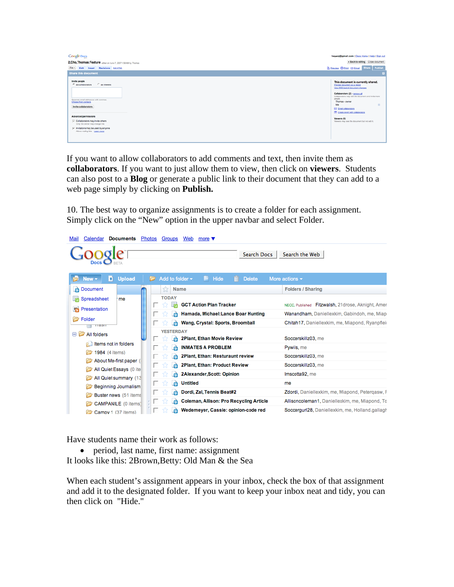| <b>Google Does</b><br>2, Cho, Thomas: Feature eded on June 7, 2007 1:58 AM by Thomas<br>File v Edit Insert Revisions Edit ITM.<br><b>Share this document</b>                                                                                                                                                                     | heywoj@gmail.com   Docs Home   Help   Sign out<br>« Back to editing Close document<br><b>Q Preview @ Print @ Email Share Publish</b>                                                                                                                                                                                                                                                   |  |
|----------------------------------------------------------------------------------------------------------------------------------------------------------------------------------------------------------------------------------------------------------------------------------------------------------------------------------|----------------------------------------------------------------------------------------------------------------------------------------------------------------------------------------------------------------------------------------------------------------------------------------------------------------------------------------------------------------------------------------|--|
| Invite people<br>$C$ as viewers<br>$\mathcal{C}$ as collaborators<br>Separate email addresses with commas.<br>Choose from contacts<br>Invite collaborators<br>Advanced permissions<br>Collaborators may invite others<br>Only the owner may change this<br>F Invitations may be used by anyone<br>Alows mailing lists Learn more | This document is currently shared.<br>Preview document as a viewer<br>View RSS feed of document changes<br>Collaborators (2) - ramove all<br>Collaborators may edit the document and invite more<br>peccle.<br>Thomas - owner<br>$\otimes$<br>Me<br>C Email collaborators<br><b>EP Create event with collaborators</b><br>Viewers (0)<br>Viewers may see the document but not edit it. |  |

If you want to allow collaborators to add comments and text, then invite them as **collaborators**. If you want to just allow them to view, then click on **viewers**. Students can also post to a **Blog** or generate a public link to their document that they can add to a web page simply by clicking on **Publish.** 

10. The best way to organize assignments is to create a folder for each assignment. Simply click on the "New" option in the upper navbar and select Folder.

| Calendar<br>Photos<br><b>Documents</b><br>Mail   | Groups<br>Web<br>more $\blacktriangledown$                     |                                                   |
|--------------------------------------------------|----------------------------------------------------------------|---------------------------------------------------|
| Docs                                             | <b>Search Docs</b>                                             | Search the Web                                    |
| <b>Upload</b><br>$New -$<br>Ð                    | Add to folder $\star$<br>Hide<br><b>Delete</b><br>Ħ.<br>m<br>r | More actions $\star$                              |
| à<br>Document                                    | X<br><b>Name</b>                                               | <b>Folders / Sharing</b>                          |
| 睛<br>Spreadsheet<br>me                           | <b>TODAY</b><br><b>GCT Action Plan Tracker</b>                 | NECC, Published Fitzwalsh, 21drose, Aknight, Amer |
| Presentation<br>L.                               | Hamada, Michael: Lance Boar Hunting<br>Ò                       | Wanandham, Daniellexkim, Gabindoh, me, Miap-      |
| Folder<br>паэн                                   | Wang, Crystal: Sports, Broomball<br>À                          | Chitah17, Daniellexkim, me, Miapond, Ryanpfleio   |
| $\Box$<br>All folders                            | <b>YESTERDAY</b><br>2Plant, Ethan Movie Review<br>ė            | Soccerskillz03, me                                |
| Items not in folders                             | <b>INMATES A PROBLEM</b><br>è                                  | Pywils, me                                        |
| 1984 (4 items)                                   | 2Plant, Ethan: Resturaunt review<br>À                          | Soccerskillz03, me                                |
| About Me-first paper (                           | <b>2Plant, Ethan: Product Review</b><br>À                      | Soccerskillz03, me                                |
| All Quiet Essays (0 ite<br>All Quiet summary (13 | 2Alexander, Scott: Opinion<br>53<br>À                          | Imscotta92, me                                    |
| Beginning Journalism                             | <b>Untitled</b><br>53<br>Ê                                     | me                                                |
| Buster news (51 items                            | Dordi, Zal, Tennis Beat#2<br>A                                 | Zdordi, Daniellexkim, me, Miapond, Petergasw, F   |
| <b>CAMPANILE</b> (0 items)                       | <b>Coleman, Allison: Pro Recycling Article</b><br>À            | Allisoncoleman1, Daniellexkim, me, Miapond, To    |
| Campy 1 (37 items)                               | Wedemeyer, Cassie: opinion-code red<br>À                       | Soccerguri28, Daniellexkim, me, Holland.gallagh   |

Have students name their work as follows:

• period, last name, first name: assignment It looks like this: 2Brown,Betty: Old Man & the Sea

When each student's assignment appears in your inbox, check the box of that assignment and add it to the designated folder. If you want to keep your inbox neat and tidy, you can then click on "Hide."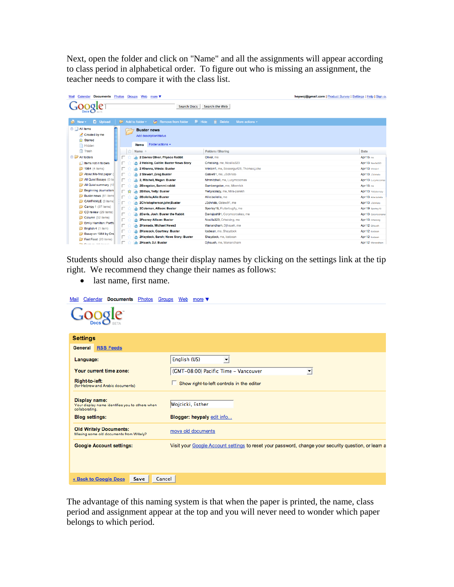Next, open the folder and click on "Name" and all the assignments will appear according to class period in alphabetical order. To figure out who is missing an assignment, the teacher needs to compare it with the class list.

| <b>Documents</b><br>Calendar<br>Mail      | heywoj@gmail.com   Product Survey   Settings   Help   Sign ou<br>Photos<br>Groups Web<br>more $\blacktriangledown$ |                 |                                       |                                          |  |                      |
|-------------------------------------------|--------------------------------------------------------------------------------------------------------------------|-----------------|---------------------------------------|------------------------------------------|--|----------------------|
|                                           |                                                                                                                    |                 | <b>Search Docs</b>                    | Search the Web                           |  |                      |
| <b>D</b> Upload<br>Rew -                  |                                                                                                                    | Add to folder ~ | Remove from folder<br><b>■ Hide</b>   | <b>前</b> Delete<br>More actions v        |  |                      |
| All items                                 |                                                                                                                    |                 | <b>Buster news</b>                    |                                          |  |                      |
| Created by me                             |                                                                                                                    |                 | Add description/status                |                                          |  |                      |
| <b>Starred</b>                            |                                                                                                                    |                 |                                       |                                          |  |                      |
| Hidden                                    |                                                                                                                    | <b>Items</b>    | Folder actions $\blacktriangledown$   |                                          |  |                      |
| Trash                                     | ŵ                                                                                                                  | Name +          |                                       | <b>Folders / Sharing</b>                 |  | Date                 |
| All folders                               |                                                                                                                    | À               | 2 Davies Oliver, Physco Rabbit        | Oliver, me                               |  | Apr 15 me            |
| <b>Community</b> I tems not in folders    | п.                                                                                                                 | è               | 2 Heising, Caitlin: Buster News Story | Crheising, me, Nosilla323                |  | Apr 13 Nosilla323    |
| 1984 (4 items)                            | п,                                                                                                                 | è               | 2 Khanna, Vrinda: Buster              | Vrinbin1, me, Soccergurl28, Thomas.j.cho |  | Apr 13 Vrinbin1      |
| About Me-first paper (                    | п.                                                                                                                 | À               | 2 Stewart .Greg Buster                | Gstew91, me, J3christo                   |  | Apr 13 J3christo     |
| All Quiet Essays (0 ite                   | 口长                                                                                                                 | e               | 2, Mitchell, Megan: Buster            | Mmmitchell, me, Lucymccomas              |  | Apr 13 Lucymocomas   |
| All Quiet summary (13)                    | 口っ                                                                                                                 | À               | 2Bengston, Sammi:rabbit               | Sambengston, me, Mkenrick                |  | Apr 15 me            |
| <b>Beginning Journalism</b>               | 厂 ☆                                                                                                                | à               | <b>2Bitton, Yelly: Buster</b>         | Yellyiscrazy, me, Mira-parekh            |  | Apr 13 Yellyiscrazy  |
| <b>Buster news</b> (51 items              | 口子                                                                                                                 | è               | 2Bollella, Allie: Buster              | Allie.bollella, me                       |  | Apr 13 Alie.bollella |
| CAMPANILE (0 items)                       | П.                                                                                                                 | À               | 2Christopherson.john:Buster           | J3christo, Gstew91, me                   |  | Apr 13 J3christo     |
| Campy 1 (37 items)                        | 口长                                                                                                                 | e               | 2Coleman, Allison: Buster             | Sportsy19, Flutterbugfly, me             |  | Apr 19 Sportsy19     |
| CD review (29 items)<br>Column (52 items) | П.                                                                                                                 | À               | 2Davis, Josh: Buster the Rabbit       | Davisjosh91, Corymccroskey, me           |  | Apr 13 Corymocrosker |
| Emily Hamilton: Portfo                    | П.                                                                                                                 | à               | <b>2Feenev Allison: Buster</b>        | Nosilla323, Crheising, me                |  | Apr 13 Oheising      |
| English 4 (1 item)                        | п.                                                                                                                 | è               | 2Hamada, Michael: News2               | Wanandham, Djhsueh, me                   |  | Apr 12 Dihsuch       |
| Essay on 1984 by Orw                      | п.                                                                                                                 | À               | <b>2Hancock, Courtney: Buster</b>     | Icebean, me, Shaydock                    |  | Apr 12 Icebean       |
| Fast Food (20 items)                      |                                                                                                                    | G               | 2Haydock, Sarah; News Story: Buster   | Shaydock, me, Icebean                    |  | Apr 12 Icebean       |
| <b>Contractors</b> 140 Beach              |                                                                                                                    | À               | 2Hsueh, DJ: Buster                    | Dihsueh, me, Wanandham                   |  | Apr 12 Wanandham     |

Students should also change their display names by clicking on the settings link at the tip right. We recommend they change their names as follows:

• last name, first name.

| Calendar<br><b>Documents</b><br>Mail                                               | Photos Groups Web more ▼                                                                             |
|------------------------------------------------------------------------------------|------------------------------------------------------------------------------------------------------|
|                                                                                    |                                                                                                      |
| <b>Settings</b>                                                                    |                                                                                                      |
| <b>RSS Feeds</b><br>General                                                        |                                                                                                      |
| Language:                                                                          | English (US)<br>$\blacktriangledown$                                                                 |
| Your current time zone:                                                            | (GMT-08:00) Pacific Time - Vancouver<br>$\vert \cdot \vert$                                          |
| Right-to-left:<br>(for Hebrew and Arabic documents)                                | Show right-to-left controls in the editor                                                            |
| Display name:<br>Your display name identifies you to others when<br>collaborating. | Wojcicki, Esther                                                                                     |
| <b>Blog settings:</b>                                                              | Blogger: heypaly edit info                                                                           |
| <b>Old Writely Documents:</b><br>Missing some old documents from Writely?          | move old documents                                                                                   |
| <b>Google Account settings:</b>                                                    | Visit your Google Account settings to reset your password, change your security question, or learn a |
|                                                                                    |                                                                                                      |
|                                                                                    |                                                                                                      |
| « Back to Google Docs<br>Save<br>Cancel                                            |                                                                                                      |

The advantage of this naming system is that when the paper is printed, the name, class period and assignment appear at the top and you will never need to wonder which paper belongs to which period.